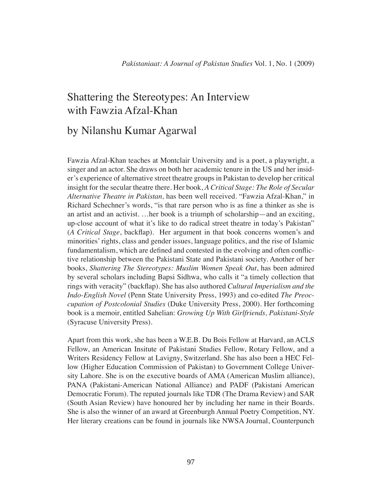# Shattering the Stereotypes: An Interview with Fawzia Afzal-Khan

## by Nilanshu Kumar Agarwal

Fawzia Afzal-Khan teaches at Montclair University and is a poet, a playwright, a singer and an actor. She draws on both her academic tenure in the US and her insider's experience of alternative street theatre groups in Pakistan to develop her critical insight for the secular theatre there. Her book, *A Critical Stage: The Role of Secular Alternative Theatre in Pakistan,* has been well received. "Fawzia Afzal-Khan," in Richard Schechner's words, "is that rare person who is as fine a thinker as she is an artist and an activist. …her book is a triumph of scholarship—and an exciting, up-close account of what it's like to do radical street theatre in today's Pakistan" (*A Critical Stage*, backflap). Her argument in that book concerns women's and minorities' rights, class and gender issues, language politics, and the rise of Islamic fundamentalism, which are defined and contested in the evolving and often conflictive relationship between the Pakistani State and Pakistani society. Another of her books, *Shattering The Stereotypes: Muslim Women Speak Out*, has been admired by several scholars including Bapsi Sidhwa, who calls it "a timely collection that rings with veracity" (backflap). She has also authored *Cultural Imperialism and the Indo-English Novel* (Penn State University Press, 1993) and co-edited *The Preoccupation of Postcolonial Studies* (Duke University Press, 2000). Her forthcoming book is a memoir, entitled Sahelian: *Growing Up With Girlfriends, Pakistani-Style* (Syracuse University Press).

Apart from this work, she has been a W.E.B. Du Bois Fellow at Harvard, an ACLS Fellow, an American Insitute of Pakistani Studies Fellow, Rotary Fellow, and a Writers Residency Fellow at Lavigny, Switzerland. She has also been a HEC Fellow (Higher Education Commission of Pakistan) to Government College University Lahore. She is on the executive boards of AMA (American Muslim alliance), PANA (Pakistani-American National Alliance) and PADF (Pakistani American Democratic Forum). The reputed journals like TDR (The Drama Review) and SAR (South Asian Review) have honoured her by including her name in their Boards. She is also the winner of an award at Greenburgh Annual Poetry Competition, NY. Her literary creations can be found in journals like NWSA Journal, Counterpunch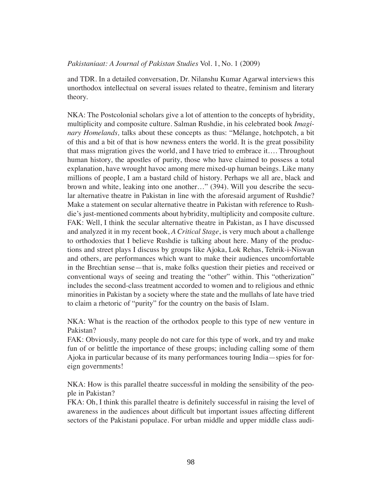and TDR. In a detailed conversation, Dr. Nilanshu Kumar Agarwal interviews this unorthodox intellectual on several issues related to theatre, feminism and literary theory.

NKA: The Postcolonial scholars give a lot of attention to the concepts of hybridity, multiplicity and composite culture. Salman Rushdie, in his celebrated book *Imaginary Homelands,* talks about these concepts as thus: "Mélange, hotchpotch, a bit of this and a bit of that is how newness enters the world. It is the great possibility that mass migration gives the world, and I have tried to embrace it…. Throughout human history, the apostles of purity, those who have claimed to possess a total explanation, have wrought havoc among mere mixed-up human beings. Like many millions of people, I am a bastard child of history. Perhaps we all are, black and brown and white, leaking into one another…" (394). Will you describe the secular alternative theatre in Pakistan in line with the aforesaid argument of Rushdie? Make a statement on secular alternative theatre in Pakistan with reference to Rushdie's just-mentioned comments about hybridity, multiplicity and composite culture. FAK: Well, I think the secular alternative theatre in Pakistan, as I have discussed and analyzed it in my recent book, *A Critical Stage*, is very much about a challenge to orthodoxies that I believe Rushdie is talking about here. Many of the productions and street plays I discuss by groups like Ajoka, Lok Rehas, Tehrik-i-Niswan and others, are performances which want to make their audiences uncomfortable in the Brechtian sense—that is, make folks question their pieties and received or conventional ways of seeing and treating the "other" within. This "otherization" includes the second-class treatment accorded to women and to religious and ethnic minorities in Pakistan by a society where the state and the mullahs of late have tried to claim a rhetoric of "purity" for the country on the basis of Islam.

NKA: What is the reaction of the orthodox people to this type of new venture in Pakistan?

FAK: Obviously, many people do not care for this type of work, and try and make fun of or belittle the importance of these groups; including calling some of them Ajoka in particular because of its many performances touring India—spies for foreign governments!

NKA: How is this parallel theatre successful in molding the sensibility of the people in Pakistan?

FKA: Oh, I think this parallel theatre is definitely successful in raising the level of awareness in the audiences about difficult but important issues affecting different sectors of the Pakistani populace. For urban middle and upper middle class audi-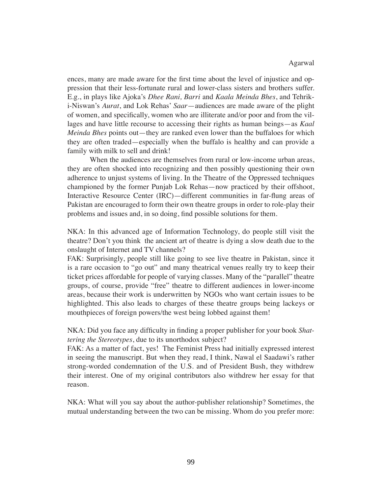#### Agarwal

ences, many are made aware for the first time about the level of injustice and oppression that their less-fortunate rural and lower-class sisters and brothers suffer. E.g., in plays like Ajoka's *Dhee Rani, Barri* and *Kaala Meinda Bhes*, and Tehriki-Niswan's *Aurat*, and Lok Rehas' *Saar*—audiences are made aware of the plight of women, and specifically, women who are illiterate and/or poor and from the villages and have little recourse to accessing their rights as human beings—as *Kaal Meinda Bhes* points out—they are ranked even lower than the buffaloes for which they are often traded—especially when the buffalo is healthy and can provide a family with milk to sell and drink!

When the audiences are themselves from rural or low-income urban areas, they are often shocked into recognizing and then possibly questioning their own adherence to unjust systems of living. In the Theatre of the Oppressed techniques championed by the former Punjab Lok Rehas—now practiced by their offshoot, Interactive Resource Center (IRC)—different communities in far-flung areas of Pakistan are encouraged to form their own theatre groups in order to role-play their problems and issues and, in so doing, find possible solutions for them.

NKA: In this advanced age of Information Technology, do people still visit the theatre? Don't you think the ancient art of theatre is dying a slow death due to the onslaught of Internet and TV channels?

FAK: Surprisingly, people still like going to see live theatre in Pakistan, since it is a rare occasion to "go out" and many theatrical venues really try to keep their ticket prices affordable for people of varying classes. Many of the "parallel" theatre groups, of course, provide "free" theatre to different audiences in lower-income areas, because their work is underwritten by NGOs who want certain issues to be highlighted. This also leads to charges of these theatre groups being lackeys or mouthpieces of foreign powers/the west being lobbed against them!

NKA: Did you face any difficulty in finding a proper publisher for your book *Shattering the Stereotypes*, due to its unorthodox subject?

FAK: As a matter of fact, yes! The Feminist Press had initially expressed interest in seeing the manuscript. But when they read, I think, Nawal el Saadawi's rather strong-worded condemnation of the U.S. and of President Bush, they withdrew their interest. One of my original contributors also withdrew her essay for that reason.

NKA: What will you say about the author-publisher relationship? Sometimes, the mutual understanding between the two can be missing. Whom do you prefer more: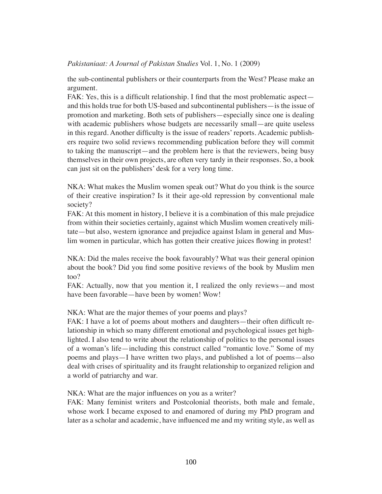the sub-continental publishers or their counterparts from the West? Please make an argument.

FAK: Yes, this is a difficult relationship. I find that the most problematic aspect and this holds true for both US-based and subcontinental publishers—is the issue of promotion and marketing. Both sets of publishers—especially since one is dealing with academic publishers whose budgets are necessarily small—are quite useless in this regard. Another difficulty is the issue of readers' reports. Academic publishers require two solid reviews recommending publication before they will commit to taking the manuscript—and the problem here is that the reviewers, being busy themselves in their own projects, are often very tardy in their responses. So, a book can just sit on the publishers' desk for a very long time.

NKA: What makes the Muslim women speak out? What do you think is the source of their creative inspiration? Is it their age-old repression by conventional male society?

FAK: At this moment in history, I believe it is a combination of this male prejudice from within their societies certainly, against which Muslim women creatively militate—but also, western ignorance and prejudice against Islam in general and Muslim women in particular, which has gotten their creative juices flowing in protest!

NKA: Did the males receive the book favourably? What was their general opinion about the book? Did you find some positive reviews of the book by Muslim men too?

FAK: Actually, now that you mention it, I realized the only reviews—and most have been favorable—have been by women! Wow!

NKA: What are the major themes of your poems and plays?

FAK: I have a lot of poems about mothers and daughters—their often difficult relationship in which so many different emotional and psychological issues get highlighted. I also tend to write about the relationship of politics to the personal issues of a woman's life—including this construct called "romantic love." Some of my poems and plays—I have written two plays, and published a lot of poems—also deal with crises of spirituality and its fraught relationship to organized religion and a world of patriarchy and war.

NKA: What are the major influences on you as a writer?

FAK: Many feminist writers and Postcolonial theorists, both male and female, whose work I became exposed to and enamored of during my PhD program and later as a scholar and academic, have influenced me and my writing style, as well as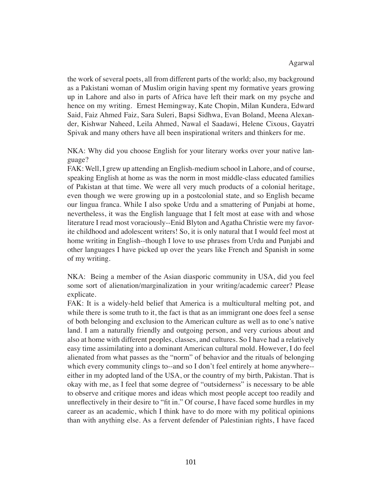## Agarwal

the work of several poets, all from different parts of the world; also, my background as a Pakistani woman of Muslim origin having spent my formative years growing up in Lahore and also in parts of Africa have left their mark on my psyche and hence on my writing. Ernest Hemingway, Kate Chopin, Milan Kundera, Edward Said, Faiz Ahmed Faiz, Sara Suleri, Bapsi Sidhwa, Evan Boland, Meena Alexander, Kishwar Naheed, Leila Ahmed, Nawal el Saadawi, Helene Cixous, Gayatri Spivak and many others have all been inspirational writers and thinkers for me.

NKA: Why did you choose English for your literary works over your native language?

FAK: Well, I grew up attending an English-medium school in Lahore, and of course, speaking English at home as was the norm in most middle-class educated families of Pakistan at that time. We were all very much products of a colonial heritage, even though we were growing up in a postcolonial state, and so English became our lingua franca. While I also spoke Urdu and a smattering of Punjabi at home, nevertheless, it was the English language that I felt most at ease with and whose literature I read most voraciously--Enid Blyton and Agatha Christie were my favorite childhood and adolescent writers! So, it is only natural that I would feel most at home writing in English--though I love to use phrases from Urdu and Punjabi and other languages I have picked up over the years like French and Spanish in some of my writing.

NKA: Being a member of the Asian diasporic community in USA, did you feel some sort of alienation/marginalization in your writing/academic career? Please explicate.

FAK: It is a widely-held belief that America is a multicultural melting pot, and while there is some truth to it, the fact is that as an immigrant one does feel a sense of both belonging and exclusion to the American culture as well as to one's native land. I am a naturally friendly and outgoing person, and very curious about and also at home with different peoples, classes, and cultures. So I have had a relatively easy time assimilating into a dominant American cultural mold. However, I do feel alienated from what passes as the "norm" of behavior and the rituals of belonging which every community clings to--and so I don't feel entirely at home anywhere--either in my adopted land of the USA, or the country of my birth, Pakistan. That is okay with me, as I feel that some degree of "outsiderness" is necessary to be able to observe and critique mores and ideas which most people accept too readily and unreflectively in their desire to "fit in." Of course, I have faced some hurdles in my career as an academic, which I think have to do more with my political opinions than with anything else. As a fervent defender of Palestinian rights, I have faced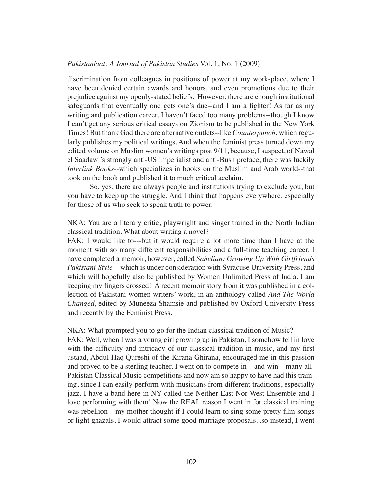discrimination from colleagues in positions of power at my work-place, where I have been denied certain awards and honors, and even promotions due to their prejudice against my openly-stated beliefs. However, there are enough institutional safeguards that eventually one gets one's due--and I am a fighter! As far as my writing and publication career, I haven't faced too many problems--though I know I can't get any serious critical essays on Zionism to be published in the New York Times! But thank God there are alternative outlets--like *Counterpunch*, which regularly publishes my political writings. And when the feminist press turned down my edited volume on Muslim women's writings post 9/11, because, I suspect, of Nawal el Saadawi's strongly anti-US imperialist and anti-Bush preface, there was luckily *Interlink Books*--which specializes in books on the Muslim and Arab world--that took on the book and published it to much critical acclaim.

So, yes, there are always people and institutions trying to exclude you, but you have to keep up the struggle. And I think that happens everywhere, especially for those of us who seek to speak truth to power.

NKA: You are a literary critic, playwright and singer trained in the North Indian classical tradition. What about writing a novel?

FAK: I would like to---but it would require a lot more time than I have at the moment with so many different responsibilities and a full-time teaching career. I have completed a memoir, however, called *Sahelian: Growing Up With Girlfriends Pakistani-Style*—which is under consideration with Syracuse University Press, and which will hopefully also be published by Women Unlimited Press of India. I am keeping my fingers crossed! A recent memoir story from it was published in a collection of Pakistani women writers' work, in an anthology called *And The World Changed*, edited by Muneeza Shamsie and published by Oxford University Press and recently by the Feminist Press.

NKA: What prompted you to go for the Indian classical tradition of Music? FAK: Well, when I was a young girl growing up in Pakistan, I somehow fell in love with the difficulty and intricacy of our classical tradition in music, and my first ustaad, Abdul Haq Qureshi of the Kirana Ghirana, encouraged me in this passion and proved to be a sterling teacher. I went on to compete in—and win—many all-Pakistan Classical Music competitions and now am so happy to have had this training, since I can easily perform with musicians from different traditions, especially jazz. I have a band here in NY called the Neither East Nor West Ensemble and I love performing with them! Now the REAL reason I went in for classical training was rebellion---my mother thought if I could learn to sing some pretty film songs or light ghazals, I would attract some good marriage proposals...so instead, I went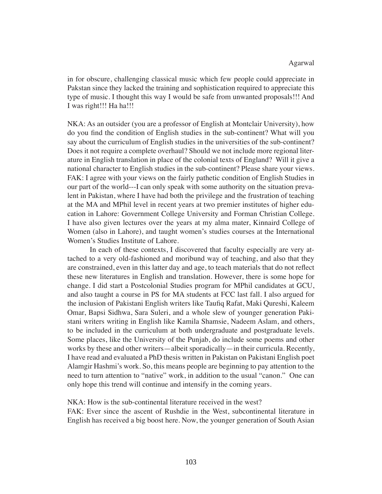in for obscure, challenging classical music which few people could appreciate in Pakstan since they lacked the training and sophistication required to appreciate this type of music. I thought this way I would be safe from unwanted proposals!!! And I was right!!! Ha ha!!!

NKA: As an outsider (you are a professor of English at Montclair University), how do you find the condition of English studies in the sub-continent? What will you say about the curriculum of English studies in the universities of the sub-continent? Does it not require a complete overhaul? Should we not include more regional literature in English translation in place of the colonial texts of England? Will it give a national character to English studies in the sub-continent? Please share your views. FAK: I agree with your views on the fairly pathetic condition of English Studies in our part of the world---I can only speak with some authority on the situation prevalent in Pakistan, where I have had both the privilege and the frustration of teaching at the MA and MPhil level in recent years at two premier institutes of higher education in Lahore: Government College University and Forman Christian College. I have also given lectures over the years at my alma mater, Kinnaird College of Women (also in Lahore), and taught women's studies courses at the International Women's Studies Institute of Lahore.

In each of these contexts, I discovered that faculty especially are very attached to a very old-fashioned and moribund way of teaching, and also that they are constrained, even in this latter day and age, to teach materials that do not reflect these new literatures in English and translation. However, there is some hope for change. I did start a Postcolonial Studies program for MPhil candidates at GCU, and also taught a course in PS for MA students at FCC last fall. I also argued for the inclusion of Pakistani English writers like Taufiq Rafat, Maki Qureshi, Kaleem Omar, Bapsi Sidhwa, Sara Suleri, and a whole slew of younger generation Pakistani writers writing in English like Kamila Shamsie, Nadeem Aslam, and others, to be included in the curriculum at both undergraduate and postgraduate levels. Some places, like the University of the Punjab, do include some poems and other works by these and other writers—albeit sporadically—in their curricula. Recently, I have read and evaluated a PhD thesis written in Pakistan on Pakistani English poet Alamgir Hashmi's work. So, this means people are beginning to pay attention to the need to turn attention to "native" work, in addition to the usual "canon." One can only hope this trend will continue and intensify in the coming years.

NKA: How is the sub-continental literature received in the west?

FAK: Ever since the ascent of Rushdie in the West, subcontinental literature in English has received a big boost here. Now, the younger generation of South Asian